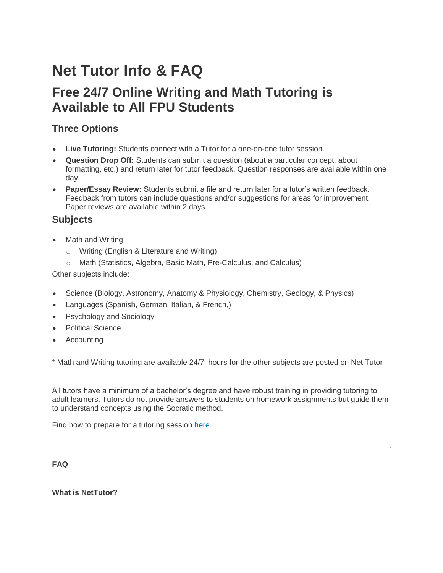# **Net Tutor Info & FAQ**

## **Free 24/7 Online Writing and Math Tutoring is Available to All FPU Students**

## **Three Options**

- **Live Tutoring:** Students connect with a Tutor for a one-on-one tutor session.
- **Question Drop Off:** Students can submit a question (about a particular concept, about formatting, etc.) and return later for tutor feedback. Question responses are available within one day.
- **Paper/Essay Review:** Students submit a file and return later for a tutor's written feedback. Feedback from tutors can include questions and/or suggestions for areas for improvement. Paper reviews are available within 2 days.

### **Subjects**

- **Math and Writing** 
	- o Writing (English & Literature and Writing)
	- o Math (Statistics, Algebra, Basic Math, Pre-Calculus, and Calculus)

Other subjects include:

- Science (Biology, Astronomy, Anatomy & Physiology, Chemistry, Geology, & Physics)
- Languages (Spanish, German, Italian, & French,)
- Psychology and Sociology
- Political Science
- **Accounting**

\* Math and Writing tutoring are available 24/7; hours for the other subjects are posted on Net Tutor

All tutors have a minimum of a bachelor's degree and have robust training in providing tutoring to adult learners. Tutors do not provide answers to students on homework assignments but guide them to understand concepts using the Socratic method.

Find how to prepare for a tutoring session [here.](http://www.compton.edu/academics/distance-ed/Documents/Info/NetTutor-Preparing-for-Tutoring-Sessions.pdf)

**FAQ**

**What is NetTutor?**